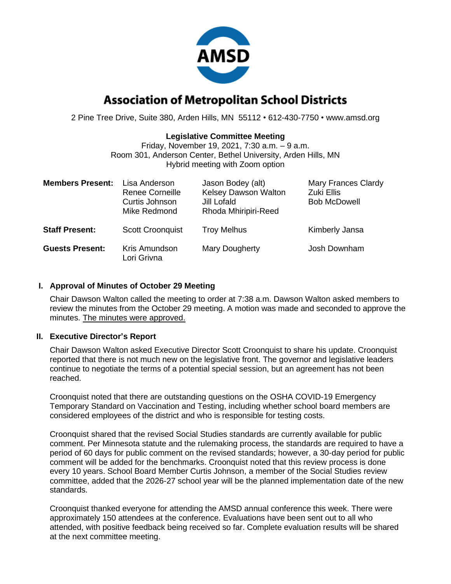

# **Association of Metropolitan School Districts**

2 Pine Tree Drive, Suite 380, Arden Hills, MN 55112 • 612-430-7750 • www.amsd.org

# **Legislative Committee Meeting**

Friday, November 19, 2021, 7:30 a.m. – 9 a.m. Room 301, Anderson Center, Bethel University, Arden Hills, MN Hybrid meeting with Zoom option

| <b>Members Present:</b> | Lisa Anderson<br>Renee Corneille<br>Curtis Johnson<br>Mike Redmond | Jason Bodey (alt)<br>Kelsey Dawson Walton<br>Jill Lofald<br>Rhoda Mhiripiri-Reed | <b>Mary Frances Clardy</b><br>Zuki Ellis<br><b>Bob McDowell</b> |
|-------------------------|--------------------------------------------------------------------|----------------------------------------------------------------------------------|-----------------------------------------------------------------|
| <b>Staff Present:</b>   | <b>Scott Croonquist</b>                                            | <b>Troy Melhus</b>                                                               | Kimberly Jansa                                                  |
| <b>Guests Present:</b>  | Kris Amundson<br>Lori Grivna                                       | <b>Mary Dougherty</b>                                                            | Josh Downham                                                    |

# **I. Approval of Minutes of October 29 Meeting**

Chair Dawson Walton called the meeting to order at 7:38 a.m. Dawson Walton asked members to review the minutes from the October 29 meeting. A motion was made and seconded to approve the minutes. The minutes were approved.

# **II. Executive Director's Report**

Chair Dawson Walton asked Executive Director Scott Croonquist to share his update. Croonquist reported that there is not much new on the legislative front. The governor and legislative leaders continue to negotiate the terms of a potential special session, but an agreement has not been reached.

Croonquist noted that there are outstanding questions on the OSHA COVID-19 Emergency Temporary Standard on Vaccination and Testing, including whether school board members are considered employees of the district and who is responsible for testing costs.

Croonquist shared that the revised Social Studies standards are currently available for public comment. Per Minnesota statute and the rulemaking process, the standards are required to have a period of 60 days for public comment on the revised standards; however, a 30-day period for public comment will be added for the benchmarks. Croonquist noted that this review process is done every 10 years. School Board Member Curtis Johnson, a member of the Social Studies review committee, added that the 2026-27 school year will be the planned implementation date of the new standards.

Croonquist thanked everyone for attending the AMSD annual conference this week. There were approximately 150 attendees at the conference. Evaluations have been sent out to all who attended, with positive feedback being received so far. Complete evaluation results will be shared at the next committee meeting.